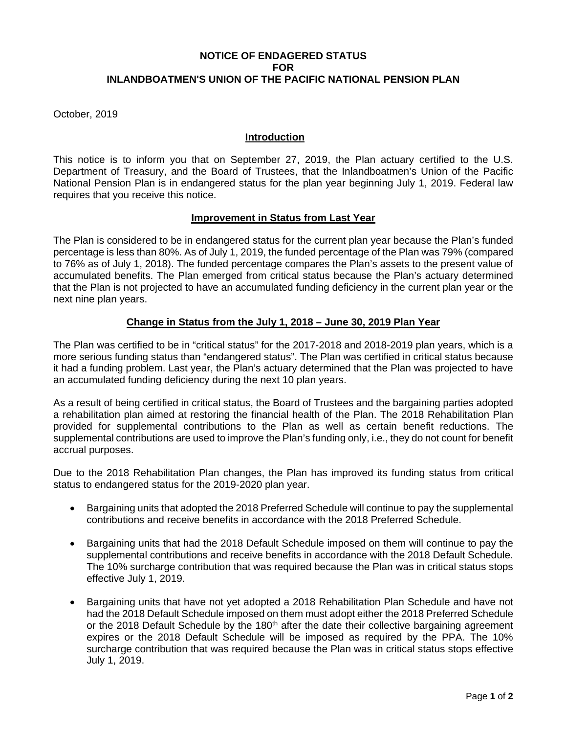# **NOTICE OF ENDAGERED STATUS FOR INLANDBOATMEN'S UNION OF THE PACIFIC NATIONAL PENSION PLAN**

October, 2019

## **Introduction**

This notice is to inform you that on September 27, 2019, the Plan actuary certified to the U.S. Department of Treasury, and the Board of Trustees, that the Inlandboatmen's Union of the Pacific National Pension Plan is in endangered status for the plan year beginning July 1, 2019. Federal law requires that you receive this notice.

### **Improvement in Status from Last Year**

The Plan is considered to be in endangered status for the current plan year because the Plan's funded percentage is less than 80%. As of July 1, 2019, the funded percentage of the Plan was 79% (compared to 76% as of July 1, 2018). The funded percentage compares the Plan's assets to the present value of accumulated benefits. The Plan emerged from critical status because the Plan's actuary determined that the Plan is not projected to have an accumulated funding deficiency in the current plan year or the next nine plan years.

# **Change in Status from the July 1, 2018 – June 30, 2019 Plan Year**

The Plan was certified to be in "critical status" for the 2017-2018 and 2018-2019 plan years, which is a more serious funding status than "endangered status". The Plan was certified in critical status because it had a funding problem. Last year, the Plan's actuary determined that the Plan was projected to have an accumulated funding deficiency during the next 10 plan years.

As a result of being certified in critical status, the Board of Trustees and the bargaining parties adopted a rehabilitation plan aimed at restoring the financial health of the Plan. The 2018 Rehabilitation Plan provided for supplemental contributions to the Plan as well as certain benefit reductions. The supplemental contributions are used to improve the Plan's funding only, i.e., they do not count for benefit accrual purposes.

Due to the 2018 Rehabilitation Plan changes, the Plan has improved its funding status from critical status to endangered status for the 2019-2020 plan year.

- Bargaining units that adopted the 2018 Preferred Schedule will continue to pay the supplemental contributions and receive benefits in accordance with the 2018 Preferred Schedule.
- Bargaining units that had the 2018 Default Schedule imposed on them will continue to pay the supplemental contributions and receive benefits in accordance with the 2018 Default Schedule. The 10% surcharge contribution that was required because the Plan was in critical status stops effective July 1, 2019.
- Bargaining units that have not yet adopted a 2018 Rehabilitation Plan Schedule and have not had the 2018 Default Schedule imposed on them must adopt either the 2018 Preferred Schedule or the 2018 Default Schedule by the 180<sup>th</sup> after the date their collective bargaining agreement expires or the 2018 Default Schedule will be imposed as required by the PPA. The 10% surcharge contribution that was required because the Plan was in critical status stops effective July 1, 2019.